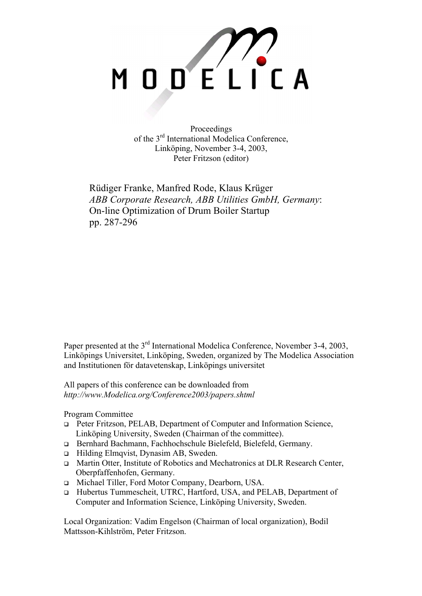

Proceedings of the 3rd International Modelica Conference, Linköping, November 3-4, 2003, Peter Fritzson (editor)

Rüdiger Franke, Manfred Rode, Klaus Krüger *ABB Corporate Research, ABB Utilities GmbH, Germany*: On-line Optimization of Drum Boiler Startup pp. 287-296

Paper presented at the 3<sup>rd</sup> International Modelica Conference, November 3-4, 2003, Linköpings Universitet, Linköping, Sweden, organized by The Modelica Association and Institutionen för datavetenskap, Linköpings universitet

All papers of this conference can be downloaded from *http://www.Modelica.org/Conference2003/papers.shtml* 

Program Committee

- Peter Fritzson, PELAB, Department of Computer and Information Science, Linköping University, Sweden (Chairman of the committee).
- Bernhard Bachmann, Fachhochschule Bielefeld, Bielefeld, Germany.
- □ Hilding Elmqvist, Dynasim AB, Sweden.
- □ Martin Otter, Institute of Robotics and Mechatronics at DLR Research Center, Oberpfaffenhofen, Germany.
- □ Michael Tiller, Ford Motor Company, Dearborn, USA.
- Hubertus Tummescheit, UTRC, Hartford, USA, and PELAB, Department of Computer and Information Science, Linköping University, Sweden.

Local Organization: Vadim Engelson (Chairman of local organization), Bodil Mattsson-Kihlström, Peter Fritzson.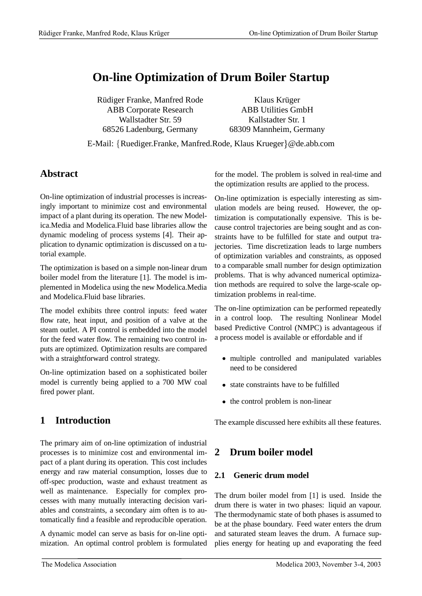# **On-line Optimization of Drum Boiler Startup**

Rüdiger Franke, Manfred Rode ABB Corporate Research Wallstadter Str. 59 68526 Ladenburg, Germany

Klaus Krüger ABB Utilities GmbH Kallstadter Str. 1 68309 Mannheim, Germany

E-Mail: {Ruediger.Franke, Manfred.Rode, Klaus Krueger}@de.abb.com

### **Abstract**

On-line optimization of industrial processes is increasingly important to minimize cost and environmental impact of a plant during its operation. The new Modelica.Media and Modelica.Fluid base libraries allow the dynamic modeling of process systems [4]. Their application to dynamic optimization is discussed on a tutorial example.

The optimization is based on a simple non-linear drum boiler model from the literature [1]. The model is implemented in Modelica using the new Modelica.Media and Modelica.Fluid base libraries.

The model exhibits three control inputs: feed water flow rate, heat input, and position of a valve at the steam outlet. A PI control is embedded into the model for the feed water flow. The remaining two control inputs are optimized. Optimization results are compared with a straightforward control strategy.

On-line optimization based on a sophisticated boiler model is currently being applied to a 700 MW coal fired power plant.

## **1 Introduction**

The primary aim of on-line optimization of industrial processes is to minimize cost and environmental impact of a plant during its operation. This cost includes energy and raw material consumption, losses due to off-spec production, waste and exhaust treatment as well as maintenance. Especially for complex processes with many mutually interacting decision variables and constraints, a secondary aim often is to automatically find a feasible and reproducible operation.

A dynamic model can serve as basis for on-line optimization. An optimal control problem is formulated for the model. The problem is solved in real-time and the optimization results are applied to the process.

On-line optimization is especially interesting as simulation models are being reused. However, the optimization is computationally expensive. This is because control trajectories are being sought and as constraints have to be fulfilled for state and output trajectories. Time discretization leads to large numbers of optimization variables and constraints, as opposed to a comparable small number for design optimization problems. That is why advanced numerical optimization methods are required to solve the large-scale optimization problems in real-time.

The on-line optimization can be performed repeatedly in a control loop. The resulting Nonlinear Model based Predictive Control (NMPC) is advantageous if a process model is available or effordable and if

- multiple controlled and manipulated variables need to be considered
- state constraints have to be fulfilled
- the control problem is non-linear

The example discussed here exhibits all these features.

## **2 Drum boiler model**

#### **2.1 Generic drum model**

The drum boiler model from [1] is used. Inside the drum there is water in two phases: liquid an vapour. The thermodynamic state of both phases is assumed to be at the phase boundary. Feed water enters the drum and saturated steam leaves the drum. A furnace supplies energy for heating up and evaporating the feed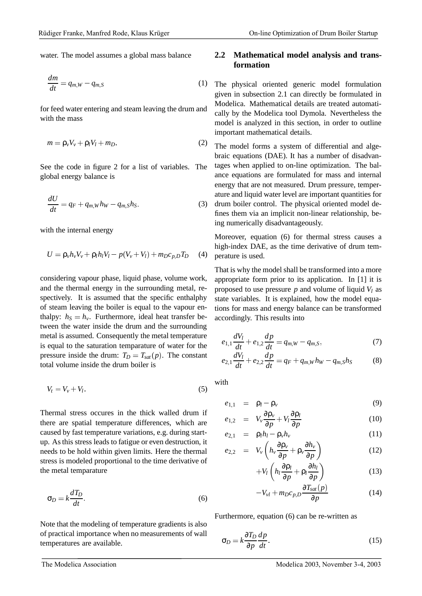water. The model assumes a global mass balance

$$
\frac{dm}{dt} = q_{m,W} - q_{m,S} \tag{1}
$$

for feed water entering and steam leaving the drum and with the mass

$$
m = \rho_v V_v + \rho_l V_l + m_D. \tag{2}
$$

See the code in figure 2 for a list of variables. The global energy balance is

$$
\frac{dU}{dt} = q_F + q_{m,W}h_W - q_{m,S}h_S.
$$
 (3)

with the internal energy

$$
U = \rho_{\nu} h_{\nu} V_{\nu} + \rho_l h_l V_l - p(V_{\nu} + V_l) + m_D c_{p,D} T_D \quad (4)
$$

considering vapour phase, liquid phase, volume work, and the thermal energy in the surrounding metal, respectively. It is assumed that the specific enthalphy of steam leaving the boiler is equal to the vapour enthalpy:  $h_S = h_v$ . Furthermore, ideal heat transfer be tween the water inside the drum and the surrounding metal is assumed. Consequently the metal temperature is equal to the saturation temparature of water for the pressure inside the drum:  $T_D = T_{sat}(p)$ . The constant total volume inside the drum boiler is

$$
V_t = V_v + V_l. \tag{5}
$$

Thermal stress occures in the thick walled drum if there are spatial temperature differences, which are caused by fast temperature variations, e.g. during startup. Asthis stress leads to fatigue or even destruction, it needs to be hold within given limits. Here the thermal stress is modeled proportional to the time derivative of the metal temparature

$$
\sigma_D = k \frac{dT_D}{dt}.\tag{6}
$$

Note that the modeling of temperature gradients is also of practical importance when no measurements of wall temperatures are available.

#### **2.2 Mathematical model analysis and transformation**

The physical oriented generic model formulation given in subsection 2.1 can directly be formulated in Modelica. Mathematical details are treated automatically by the Modelica tool Dymola. Nevertheless the model is analyzed in this section, in order to outline important mathematical details.

The model forms a system of differential and algebraic equations (DAE). It has a number of disadvantages when applied to on-line optimization. The balance equations are formulated for mass and internal energy that are not measured. Drum pressure, temperature and liquid water level are important quantities for drum boiler control. The physical oriented model defines them via an implicit non-linear relationship, being numerically disadvantageously.

Moreover, equation (6) for thermal stress causes a high-index DAE, as the time derivative of drum temperature is used.

That is why the model shall be transformed into a more appropriate form prior to its application. In [1] it is proposed to use pressure  $p$  and volume of liquid  $V_l$  as state variables. It is explained, how the model equations for mass and energy balance can be transformed accordingly. This results into

$$
e_{1,1}\frac{dV_l}{dt} + e_{1,2}\frac{dp}{dt} = q_{m,W} - q_{m,S},\tag{7}
$$

$$
e_{2,1}\frac{dV_l}{dt} + e_{2,2}\frac{dp}{dt} = q_F + q_{m,W}h_W - q_{m,S}h_S \tag{8}
$$

with

$$
e_{1,1} = \rho_l - \rho_v \tag{9}
$$

$$
e_{1,2} = V_v \frac{\partial \rho_v}{\partial p} + V_l \frac{\partial \rho_l}{\partial p}
$$
 (10)

$$
e_{2,1} = \rho_l h_l - \rho_v h_v \tag{11}
$$

$$
e_{2,2} = V_{\nu} \left( h_{\nu} \frac{\partial \rho_{\nu}}{\partial p} + \rho_{\nu} \frac{\partial h_{\nu}}{\partial p} \right) \tag{12}
$$

$$
+V_l\left(h_l\frac{\partial \rho_l}{\partial p} + \rho_l\frac{\partial h_l}{\partial p}\right) \tag{13}
$$

$$
-V_{vl} + m_D c_{p,D} \frac{\partial T_{sat}(p)}{\partial p} \tag{14}
$$

Furthermore, equation (6) can be re-written as

$$
\sigma_D = k \frac{\partial T_D}{\partial p} \frac{dp}{dt}.
$$
\n(15)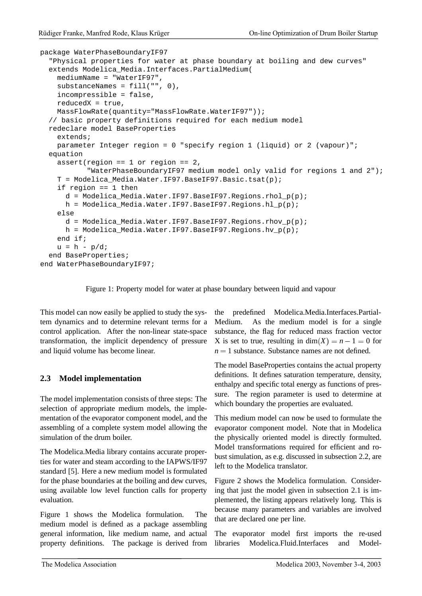```
package WaterPhaseBoundaryIF97
  "Physical properties for water at phase boundary at boiling and dew curves"
  extends Modelica_Media.Interfaces.PartialMedium(
    mediumName = "WaterIF97",
    substanceNames = fill("", 0),
    incompressible = false,
    reducedX = true,
   MassFlowRate(quantity="MassFlowRate.WaterIF97"));
  // basic property definitions required for each medium model
  redeclare model BaseProperties
    extends;
   parameter Integer region = 0 "specify region 1 (liquid) or 2 (vapour)";
  equation
    assert(region == 1 or region == 2,
           "WaterPhaseBoundaryIF97 medium model only valid for regions 1 and 2");
    T = Modelica_Media.Water.IF97.BaseIF97.Basic.tsat(p);
    if region == 1 then
      d = Modelica_Media.Water.IF97.BaseIF97.Regions.rhol_p(p);
      h = Modelica_Media.Water.IF97.BaseIF97.Regions.hl_p(p);
    else
      d = Modelica Media.Water.IF97.BaseIF97.Regions.rhov p(p);
      h = Modelica Media.Water.IF97.BaseIF97.Regions.hv p(p);
    end if;
    u = h - p/diend BaseProperties;
end WaterPhaseBoundaryIF97;
```
Figure 1: Property model for water at phase boundary between liquid and vapour

This model can now easily be applied to study the system dynamics and to determine relevant terms for a control application. After the non-linear state-space transformation, the implicit dependency of pressure and liquid volume has become linear.

#### **2.3 Model implementation**

The model implementation consists of three steps: The selection of appropriate medium models, the implementation of the evaporator component model, and the assembling of a complete system model allowing the simulation of the drum boiler.

The Modelica.Media library contains accurate properties for water and steam according to the IAPWS/IF97 standard [5]. Here a new medium model is formulated for the phase boundaries at the boiling and dew curves, using available low level function calls for property evaluation.

Figure 1 shows the Modelica formulation. The medium model is defined as a package assembling general information, like medium name, and actual property definitions. The package is derived from the predefined Modelica.Media.Interfaces.Partial-Medium. As the medium model is for a single substance, the flag for reduced mass fraction vector X is set to true, resulting in  $dim(X) = n - 1 = 0$  for  $n = 1$  substance. Substance names are not defined.

The model BaseProperties contains the actual property definitions. It defines saturation temperature, density, enthalpy and specific total energy as functions of pressure. The region parameter is used to determine at which boundary the properties are evaluated.

This medium model can now be used to formulate the evaporator component model. Note that in Modelica the physically oriented model is directly formulted. Model transformations required for efficient and robust simulation, as e.g. discussed in subsection 2.2, are left to the Modelica translator.

Figure 2 shows the Modelica formulation. Considering that just the model given in subsection 2.1 is implemented, the listing appears relatively long. This is because many parameters and variables are involved that are declared one per line.

The evaporator model first imports the re-used libraries Modelica.Fluid.Interfaces and Model-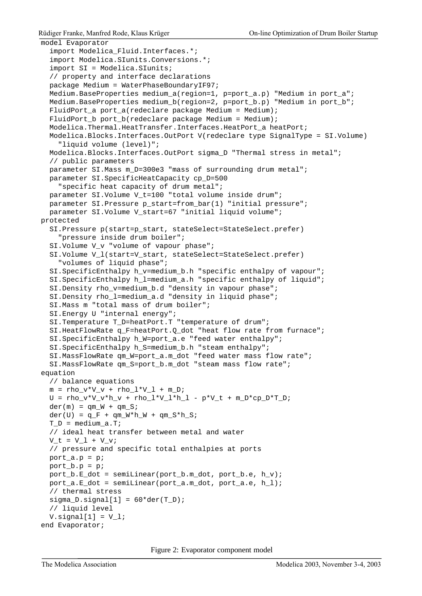```
model Evaporator
  import Modelica_Fluid.Interfaces.*;
  import Modelica.SIunits.Conversions.*;
  import SI = Modelica.SIunits;
  // property and interface declarations
  package Medium = WaterPhaseBoundaryIF97;
  Medium.BaseProperties medium_a(region=1, p=port_a.p) "Medium in port_a";
  Medium.BaseProperties medium_b(region=2, p=port_b.p) "Medium in port_b";
  FluidPort_a port_a(redeclare package Medium = Medium);
  FluidPort_b port_b(redeclare package Medium = Medium);
  Modelica.Thermal.HeatTransfer.Interfaces.HeatPort a heatPort;
  Modelica.Blocks.Interfaces.OutPort V(redeclare type SignalType = SI.Volume)
    "liquid volume (level)";
  Modelica.Blocks.Interfaces.OutPort sigma_D "Thermal stress in metal";
  // public parameters
  parameter SI.Mass m_D=300e3 "mass of surrounding drum metal";
  parameter SI.SpecificHeatCapacity cp_D=500
    "specific heat capacity of drum metal";
  parameter SI.Volume V_t=100 "total volume inside drum";
  parameter SI.Pressure p_start=from_bar(1) "initial pressure";
  parameter SI.Volume V_start=67 "initial liquid volume";
protected
  SI.Pressure p(start=p_start, stateSelect=StateSelect.prefer)
    "pressure inside drum boiler";
  SI.Volume V_v "volume of vapour phase";
  SI.Volume V_l(start=V_start, stateSelect=StateSelect.prefer)
    "volumes of liquid phase";
  SI.SpecificEnthalpy h_v=medium_b.h "specific enthalpy of vapour";
  SI. SpecificEnthalpy h l=medium a.h "specific enthalpy of liquid";
  SI.Density rho_v=medium_b.d "density in vapour phase";
  SI.Density rho l=medium a.d "density in liquid phase";
  SI.Mass m "total mass of drum boiler";
  SI.Energy U "internal energy";
  SI.Temperature T_D=heatPort.T "temperature of drum";
  SI.HeatFlowRate q_F=heatPort.Q_dot "heat flow rate from furnace";
  SI.SpecificEnthalpy h_W=port_a.e "feed water enthalpy";
  SI.SpecificEnthalpy h S=medium b.h "steam enthalpy";
  SI.MassFlowRate qm_W=port_a.m_dot "feed water mass flow rate";
  SI.MassFlowRate qm_S=port_b.m_dot "steam mass flow rate";
equation
  // balance equations
  m = rho_v*V_v + rho_l*V_l + m_D;\texttt{U = rho\_v*V\_v*h\_v + rho\_l*V\_l*h\_l - p*V\_t + m\_D*cp\_D*T\_D} \texttt{;}der(m) = qm_W + qm_S;der(U) = q_F + qm_W*h_W + qm_S*h_S;T D = medium a.T;
  // ideal heat transfer between metal and water
  V t = V 1 + V v;
  // pressure and specific total enthalpies at ports
  port_a.p = p;
  port_b.p = piport_b.E_dot = semiLinear(port_b.m_dot, port_b.e, h_v);
  port_a.E_dot = semiLinear(port_a.m_dot, port_a.e, h_l);
  // thermal stress
  sigma_D.signal[1] = 60*der(T_D);// liquid level
  V.\sigmaignal[1] = V_i;
end Evaporator;
```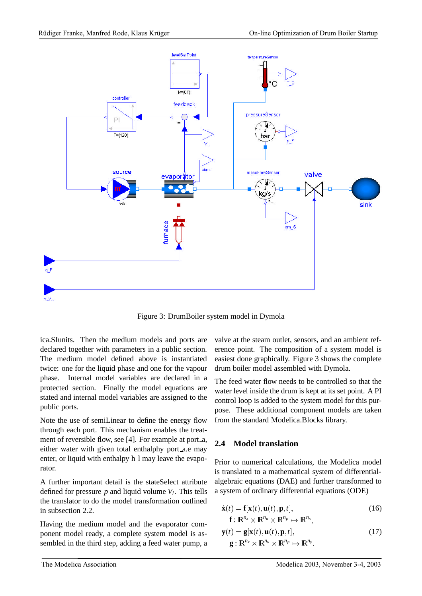

Figure 3: DrumBoiler system model in Dymola

ica.SIunits. Then the medium models and ports are declared together with parameters in a public section. The medium model defined above is instantiated twice: one for the liquid phase and one for the vapour phase. Internal model variables are declared in a protected section. Finally the model equations are stated and internal model variables are assigned to the public ports.

Note the use of semiLinear to define the energy flow through each port. This mechanism enables the treatment of reversible flow, see [4]. For example at port<sub>a</sub>, either water with given total enthalphy port a.e may enter, or liquid with enthalpy h 1 may leave the evaporator.

A further important detail is the stateSelect attribute defined for pressure  $p$  and liquid volume  $V_l$ . This tells the translator to do the model transformation outlined in subsection 2.2.

Having the medium model and the evaporator component model ready, a complete system model is assembled in the third step, adding a feed water pump, a valve at the steam outlet, sensors, and an ambient reference point. The composition of a system model is easiest done graphically. Figure 3 shows the complete drum boiler model assembled with Dymola.

The feed water flow needs to be controlled so that the water level inside the drum is kept at its set point. A PI control loop is added to the system model for this purpose. These additional component models are taken from the standard Modelica.Blocks library.

#### **2.4 Model translation**

Prior to numerical calculations, the Modelica model is translated to a mathematical system of differentialalgebraic equations (DAE) and further transformed to a system of ordinary differential equations (ODE)

$$
\dot{\mathbf{x}}(t) = \mathbf{f}[\mathbf{x}(t), \mathbf{u}(t), \mathbf{p}, t],
$$
  
\n
$$
\mathbf{f} : \mathbf{R}^{n_x} \times \mathbf{R}^{n_u} \times \mathbf{R}^{n_p} \mapsto \mathbf{R}^{n_x},
$$
\n(16)

$$
\mathbf{y}(t) = \mathbf{g}[\mathbf{x}(t), \mathbf{u}(t), \mathbf{p}, t],
$$
  
\n
$$
\mathbf{g}: \mathbf{R}^{n_x} \times \mathbf{R}^{n_u} \times \mathbf{R}^{n_p} \mapsto \mathbf{R}^{n_y}.
$$
\n(17)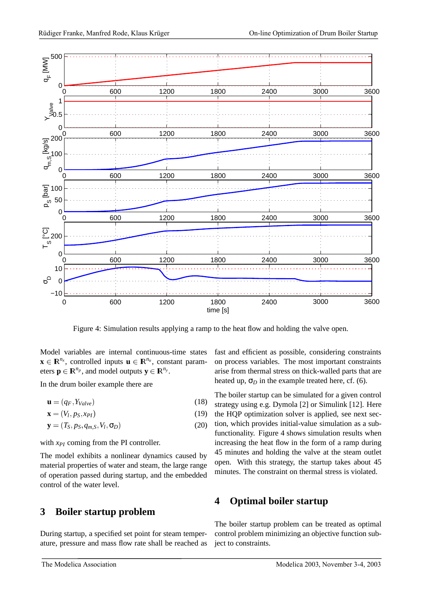

Figure 4: Simulation results applying a ramp to the heat flow and holding the valve open.

Model variables are internal continuous-time states  $\mathbf{x} \in \mathbb{R}^{n_x}$ , controlled inputs  $\mathbf{u} \in \mathbb{R}^{n_u}$ , constant parameters  $\mathbf{p} \in \mathbb{R}^{n_p}$ , and model outputs  $\mathbf{y} \in \mathbb{R}^{n_y}$ .

In the drum boiler example there are

$$
\mathbf{u} = (q_F, Y_{Value}) \tag{18}
$$

$$
\mathbf{x} = (V_l, p_S, x_{PI}) \tag{19}
$$

$$
\mathbf{y} = (T_S, p_S, q_{m,S}, V_l, \sigma_D) \tag{20}
$$

with  $x_{PI}$  coming from the PI controller.

The model exhibits a nonlinear dynamics caused by material properties of water and steam, the large range of operation passed during startup, and the embedded control of the water level.

### **3 Boiler startup problem**

During startup, a specified set point for steam temperature, pressure and mass flow rate shall be reached as

fast and efficient as possible, considering constraints on process variables. The most important constraints arise from thermal stress on thick-walled parts that are heated up,  $\sigma_D$  in the example treated here, cf. (6).

The boiler startup can be simulated for a given control strategy using e.g. Dymola [2] or Simulink [12]. Here the HQP optimization solver is applied, see next section, which provides initial-value simulation as a subfunctionality. Figure 4 shows simulation results when increasing the heat flow in the form of a ramp during 45 minutes and holding the valve at the steam outlet open. With this strategy, the startup takes about 45 minutes. The constraint on thermal stress is violated.

### **4 Optimal boiler startup**

The boiler startup problem can be treated as optimal control problem minimizing an objective function subject to constraints.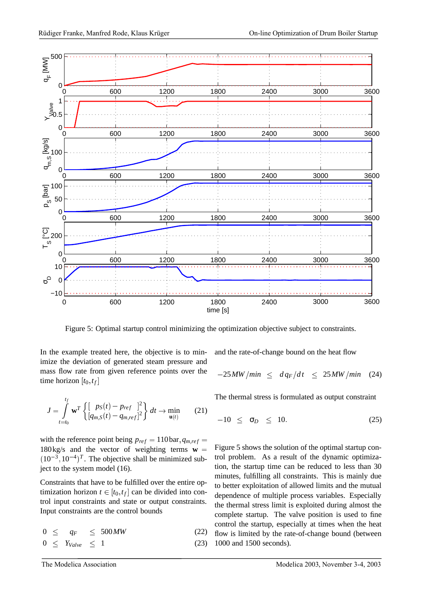

Figure 5: Optimal startup control minimizing the optimization objective subject to constraints.

In the example treated here, the objective is to minimize the deviation of generated steam pressure and mass flow rate from given reference points over the time horizon  $[t_0, t_f]$ 

$$
J = \int_{t=t_0}^{t_f} \mathbf{w}^T \left\{ \begin{bmatrix} p_S(t) - p_{ref} & ]^2 \\ [q_{m,S}(t) - q_{m,ref}]^2 \end{bmatrix} dt \to \min_{\mathbf{u}(t)} \qquad (21)
$$

with the reference point being  $p_{ref} = 110 \text{ bar}, q_{m,ref}$  180kg/s and the vector of weighting terms **w**  $(10^{-3}, 10^{-4})^T$ . The objective shall be minimized subject to the system model (16).

Constraints that have to be fulfilled over the entire optimization horizon  $t \in [t_0, t_f]$  can be divided into control input constraints and state or output constraints. Input constraints are the control bounds

 $0 < q_F < 500MW$  (22)

$$
0 \leq Y_{Value} \leq 1 \tag{23}
$$

and the rate-of-change bound on the heat flow

$$
-25MW/min \leq dq_F/dt \leq 25MW/min (24)
$$

The thermal stress is formulated as output constraint

$$
-10 \leq \sigma_D \leq 10. \tag{25}
$$

 $=$  Figure 5 shows the solution of the optimal startup conb- trol problem. As a result of the dynamic optimization, the startup time can be reduced to less than 30 minutes, fulfilling all constraints. This is mainly due to better exploitation of allowed limits and the mutual dependence of multiple process variables. Especially the thermal stress limit is exploited during almost the complete startup. The valve position is used to fine control the startup, especially at times when the heat flow is limited by the rate-of-change bound (between 1000 and 1500 seconds).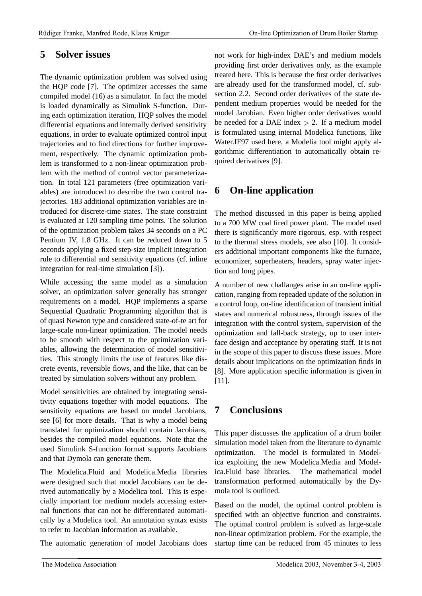### **5 Solver issues**

The dynamic optimization problem was solved using the HQP code [7]. The optimizer accesses the same compiled model (16) as a simulator. In fact the model is loaded dynamically as Simulink S-function. During each optimization iteration, HQP solves the model differential equations and internally derived sensitivity equations, in order to evaluate optimized control input trajectories and to find directions for further improvement, respectively. The dynamic optimization problem is transformed to a non-linear optimization problem with the method of control vector parameterization. In total 121 parameters (free optimization variables) are introduced to describe the two control trajectories. 183 additional optimization variables are introduced for discrete-time states. The state constraint is evaluated at 120 sampling time points. The solution of the optimization problem takes 34 seconds on a PC Pentium IV, 1.8 GHz. It can be reduced down to 5 seconds applying a fixed step-size implicit integration rule to differential and sensitivity equations (cf. inline integration for real-time simulation [3]).

While accessing the same model as a simulation solver, an optimization solver generally has stronger requirements on a model. HQP implements a sparse Sequential Quadratic Programming algorithm that is of quasi Newton type and considered state-of-te art for large-scale non-linear optimization. The model needs to be smooth with respect to the optimization variables, allowing the determination of model sensitivities. This strongly limits the use of features like discrete events, reversible flows, and the like, that can be treated by simulation solvers without any problem.

Model sensitivities are obtained by integrating sensitivity equations together with model equations. The sensitivity equations are based on model Jacobians, see [6] for more details. That is why a model being translated for optimization should contain Jacobians, besides the compiled model equations. Note that the used Simulink S-function format supports Jacobians and that Dymola can generate them.

The Modelica.Fluid and Modelica.Media libraries were designed such that model Jacobians can be derived automatically by a Modelica tool. This is especially important for medium models accessing external functions that can not be differentiated automatically by a Modelica tool. An annotation syntax exists to refer to Jacobian information as available.

The automatic generation of model Jacobians does

not work for high-index DAE's and medium models providing first order derivatives only, as the example treated here. This is because the first order derivatives are already used for the transformed model, cf. subsection 2.2. Second order derivatives of the state dependent medium properties would be needed for the model Jacobian. Even higher order derivatives would be needed for a DAE index  $> 2$ . If a medium model is formulated using internal Modelica functions, like Water.IF97 used here, a Modelia tool might apply algorithmic differentiation to automatically obtain required derivatives [9].

## **6 On-line application**

The method discussed in this paper is being applied to a 700 MW coal fired power plant. The model used there is significantly more rigorous, esp. with respect to the thermal stress models, see also [10]. It considers additional important components like the furnace, economizer, superheaters, headers, spray water injection and long pipes.

A number of new challanges arise in an on-line application, ranging from repeaded update of the solution in a control loop, on-line identification of transient initial states and numerical robustness, through issues of the integration with the control system, supervision of the optimization and fall-back strategy, up to user interface design and acceptance by operating staff. It is not in the scope of this paper to discuss these issues. More details about implications on the optimization finds in [8]. More application specific information is given in [11].

## **7 Conclusions**

This paper discusses the application of a drum boiler simulation model taken from the literature to dynamic optimization. The model is formulated in Modelica exploiting the new Modelica.Media and Modelica.Fluid base libraries. The mathematical model transformation performed automatically by the Dymola tool is outlined.

Based on the model, the optimal control problem is specified with an objective function and constraints. The optimal control problem is solved as large-scale non-linear optimization problem. For the example, the startup time can be reduced from 45 minutes to less